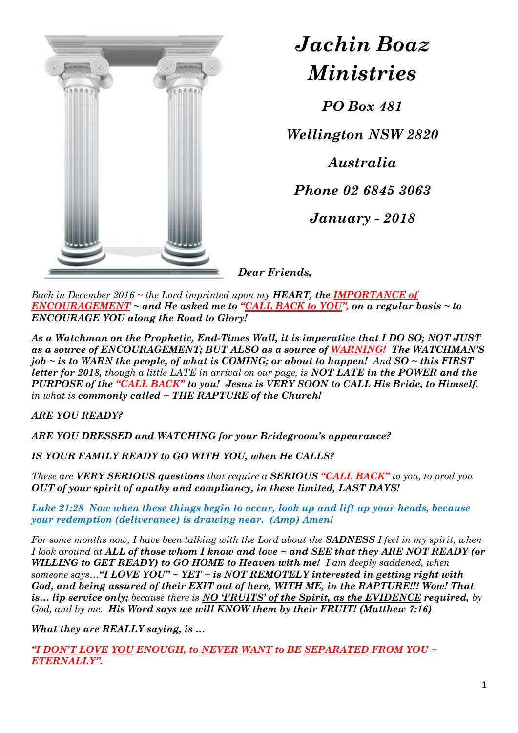

*Jachin Boaz Ministries*

*PO Box 481*

*Wellington NSW 2820*

*Australia*

*Phone 02 6845 3063*

*January - 2018*

*Dear Friends,*

*Back in December 2016 ~ the Lord imprinted upon my HEART, the IMPORTANCE of ENCOURAGEMENT ~ and He asked me to "CALL BACK to YOU", on a regular basis ~ to ENCOURAGE YOU along the Road to Glory!* 

*As a Watchman on the Prophetic, End-Times Wall, it is imperative that I DO SO; NOT JUST as a source of ENCOURAGEMENT; BUT ALSO as a source of WARNING! The WATCHMAN'S job ~ is to WARN the people, of what is COMING; or about to happen! And SO ~ this FIRST letter for 2018, though a little LATE in arrival on our page, is NOT LATE in the POWER and the PURPOSE of the "CALL BACK" to you! Jesus is VERY SOON to CALL His Bride, to Himself, in what is commonly called ~ THE RAPTURE of the Church!* 

*ARE YOU READY?* 

*ARE YOU DRESSED and WATCHING for your Bridegroom's appearance?* 

*IS YOUR FAMILY READY to GO WITH YOU, when He CALLS?* 

*These are VERY SERIOUS questions that require a SERIOUS "CALL BACK" to you, to prod you OUT of your spirit of apathy and compliancy, in these limited, LAST DAYS!*

*Luke 21:28 Now when these things begin to occur, look up and lift up your heads, because your redemption (deliverance) is drawing near. (Amp) Amen!*

*For some months now, I have been talking with the Lord about the SADNESS I feel in my spirit, when I look around at ALL of those whom I know and love ~ and SEE that they ARE NOT READY (or WILLING to GET READY) to GO HOME to Heaven with me! I am deeply saddened, when someone says…"I LOVE YOU" ~ YET ~ is NOT REMOTELY interested in getting right with God, and being assured of their EXIT out of here, WITH ME, in the RAPTURE!!! Wow! That is… lip service only; because there is NO 'FRUITS' of the Spirit, as the EVIDENCE required, by God, and by me. His Word says we will KNOW them by their FRUIT! (Matthew 7:16)*

*What they are REALLY saying, is …* 

*"I DON'T LOVE YOU ENOUGH, to NEVER WANT to BE SEPARATED FROM YOU ~ ETERNALLY".*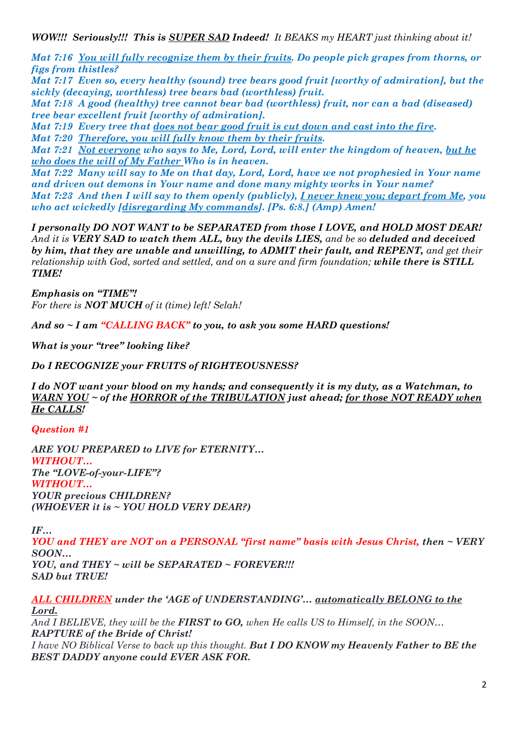*WOW!!! Seriously!!! This is SUPER SAD Indeed! It BEAKS my HEART just thinking about it!*

*Mat 7:16 You will fully recognize them by their fruits. Do people pick grapes from thorns, or figs from thistles?* 

*Mat 7:17 Even so, every healthy (sound) tree bears good fruit [worthy of admiration], but the sickly (decaying, worthless) tree bears bad (worthless) fruit.* 

*Mat 7:18 A good (healthy) tree cannot bear bad (worthless) fruit, nor can a bad (diseased) tree bear excellent fruit [worthy of admiration].* 

*Mat 7:19 Every tree that does not bear good fruit is cut down and cast into the fire.* 

*Mat 7:20 Therefore, you will fully know them by their fruits.* 

*Mat 7:21 Not everyone who says to Me, Lord, Lord, will enter the kingdom of heaven, but he who does the will of My Father Who is in heaven.* 

*Mat 7:22 Many will say to Me on that day, Lord, Lord, have we not prophesied in Your name and driven out demons in Your name and done many mighty works in Your name? Mat 7:23 And then I will say to them openly (publicly), I never knew you; depart from Me, you who act wickedly [disregarding My commands]. [Ps. 6:8.] (Amp) Amen!*

*I personally DO NOT WANT to be SEPARATED from those I LOVE, and HOLD MOST DEAR! And it is VERY SAD to watch them ALL, buy the devils LIES, and be so deluded and deceived by him, that they are unable and unwilling, to ADMIT their fault, and REPENT, and get their relationship with God, sorted and settled, and on a sure and firm foundation; while there is STILL TIME!* 

*Emphasis on "TIME"! For there is NOT MUCH of it (time) left! Selah!*

*And so ~ I am "CALLING BACK" to you, to ask you some HARD questions!*

*What is your "tree" looking like?* 

*Do I RECOGNIZE your FRUITS of RIGHTEOUSNESS?*

*I do NOT want your blood on my hands; and consequently it is my duty, as a Watchman, to WARN YOU ~ of the HORROR of the TRIBULATION just ahead; for those NOT READY when He CALLS!*

*Question #1*

*ARE YOU PREPARED to LIVE for ETERNITY… WITHOUT… The "LOVE-of-your-LIFE"? WITHOUT… YOUR precious CHILDREN? (WHOEVER it is ~ YOU HOLD VERY DEAR?)*

*IF… YOU and THEY are NOT on a PERSONAL "first name" basis with Jesus Christ, then ~ VERY SOON… YOU, and THEY ~ will be SEPARATED ~ FOREVER!!!*

*SAD but TRUE!*

*ALL CHILDREN under the 'AGE of UNDERSTANDING'… automatically BELONG to the Lord.* 

*And I BELIEVE, they will be the FIRST to GO, when He calls US to Himself, in the SOON… RAPTURE of the Bride of Christ! I have NO Biblical Verse to back up this thought. But I DO KNOW my Heavenly Father to BE the BEST DADDY anyone could EVER ASK FOR.*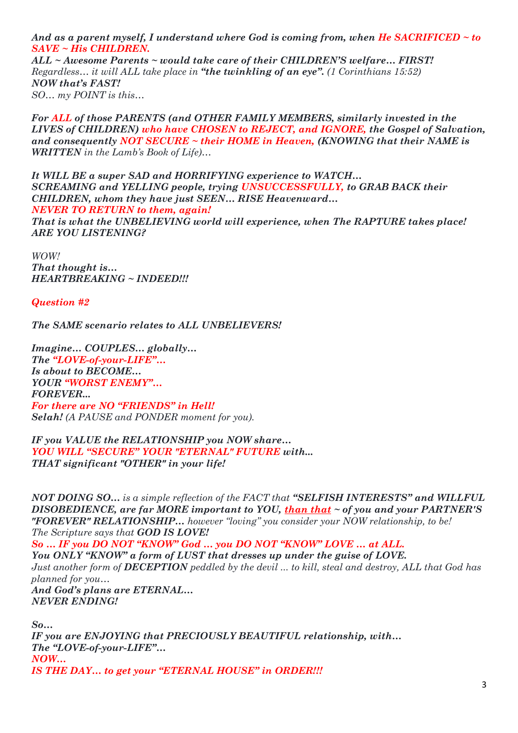*And as a parent myself, I understand where God is coming from, when He SACRIFICED ~ to SAVE ~ His CHILDREN.* 

*ALL ~ Awesome Parents ~ would take care of their CHILDREN'S welfare… FIRST! Regardless… it will ALL take place in "the twinkling of an eye". (1 Corinthians 15:52) NOW that's FAST! SO… my POINT is this…*

*For ALL of those PARENTS (and OTHER FAMILY MEMBERS, similarly invested in the LIVES of CHILDREN) who have CHOSEN to REJECT, and IGNORE, the Gospel of Salvation, and consequently NOT SECURE ~ their HOME in Heaven, (KNOWING that their NAME is WRITTEN in the Lamb's Book of Life)…*

*It WILL BE a super SAD and HORRIFYING experience to WATCH… SCREAMING and YELLING people, trying UNSUCCESSFULLY, to GRAB BACK their CHILDREN, whom they have just SEEN… RISE Heavenward… NEVER TO RETURN to them, again! That is what the UNBELIEVING world will experience, when The RAPTURE takes place! ARE YOU LISTENING?*

*WOW! That thought is… HEARTBREAKING ~ INDEED!!!*

*Question #2*

*The SAME scenario relates to ALL UNBELIEVERS!*

*Imagine… COUPLES… globally… The "LOVE-of-your-LIFE"… Is about to BECOME… YOUR "WORST ENEMY"… FOREVER... For there are NO "FRIENDS" in Hell! Selah! (A PAUSE and PONDER moment for you).*

*IF you VALUE the RELATIONSHIP you NOW share… YOU WILL "SECURE" YOUR "ETERNAL" FUTURE with... THAT significant "OTHER" in your life!*

*NOT DOING SO… is a simple reflection of the FACT that "SELFISH INTERESTS" and WILLFUL DISOBEDIENCE, are far MORE important to YOU, than that ~ of you and your PARTNER'S "FOREVER" RELATIONSHIP… however "loving" you consider your NOW relationship, to be! The Scripture says that GOD IS LOVE!*

*So … IF you DO NOT "KNOW" God … you DO NOT "KNOW" LOVE … at ALL.* 

*You ONLY "KNOW" a form of LUST that dresses up under the guise of LOVE. Just another form of DECEPTION peddled by the devil ... to kill, steal and destroy, ALL that God has planned for you… And God's plans are ETERNAL… NEVER ENDING!*

*So… IF you are ENJOYING that PRECIOUSLY BEAUTIFUL relationship, with… The "LOVE-of-your-LIFE"… NOW… IS THE DAY… to get your "ETERNAL HOUSE" in ORDER!!!*